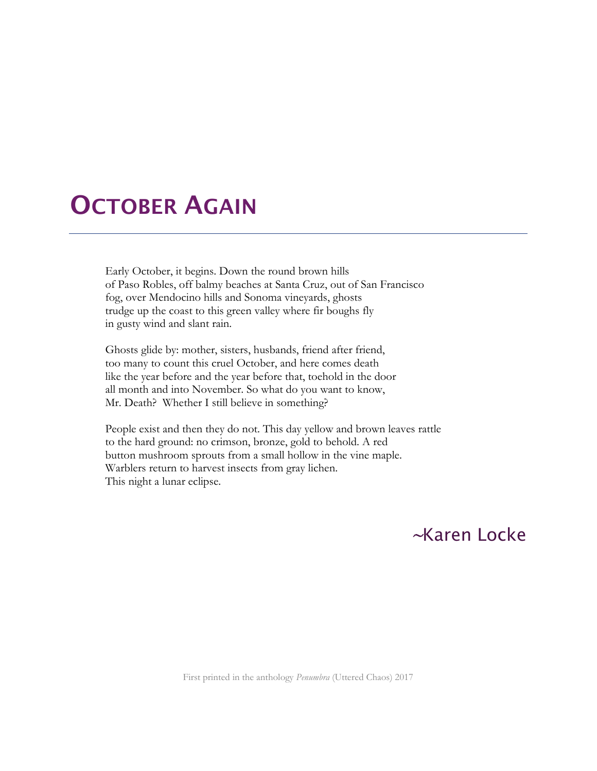## **OCTOBER AGAIN**

Early October, it begins. Down the round brown hills of Paso Robles, off balmy beaches at Santa Cruz, out of San Francisco fog, over Mendocino hills and Sonoma vineyards, ghosts trudge up the coast to this green valley where fir boughs fly in gusty wind and slant rain.

Ghosts glide by: mother, sisters, husbands, friend after friend, too many to count this cruel October, and here comes death like the year before and the year before that, toehold in the door all month and into November. So what do you want to know, Mr. Death? Whether I still believe in something?

People exist and then they do not. This day yellow and brown leaves rattle to the hard ground: no crimson, bronze, gold to behold. A red button mushroom sprouts from a small hollow in the vine maple. Warblers return to harvest insects from gray lichen. This night a lunar eclipse.

## <sup>~</sup>Karen Locke

First printed in the anthology *Penumbra* (Uttered Chaos) 2017